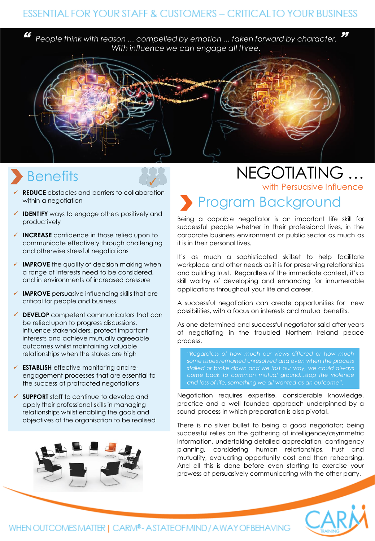" "*People think with reason ... compelled by emotion ... taken forward by character. With influence we can engage all three.*



## **Benefits**

- **REDUCE** obstacles and barriers to collaboration within a negotiation
- ✓ **IDENTIFY** ways to engage others positively and productively
- ✓ **INCREASE** confidence in those relied upon to communicate effectively through challenging and otherwise stressful negotiations
- ✓ **IMPROVE** the quality of decision making when a range of interests need to be considered, and in environments of increased pressure
- ✓ **IMPROVE** persuasive influencing skills that are critical for people and business
- ✓ **DEVELOP** competent communicators that can be relied upon to progress discussions, influence stakeholders, protect important interests and achieve mutually agreeable outcomes whilst maintaining valuable relationships when the stakes are high
- ✓ **ESTABLISH** effective monitoring and reengagement processes that are essential to the success of protracted negotiations
- ✓ **SUPPORT** staff to continue to develop and apply their professional skills in managing relationships whilst enabling the goals and objectives of the organisation to be realised



# NEGOTIATING …

with Persuasive Influence

## Program Background

Being a capable negotiator is an important life skill for successful people whether in their professional lives, in the corporate business environment or public sector as much as it is in their personal lives.

It's as much a sophisticated skillset to help facilitate workplace and other needs as it is for preserving relationships and building trust. Regardless of the immediate context, it's a skill worthy of developing and enhancing for innumerable applications throughout your life and career.

A successful negotiation can create opportunities for new possibilities, with a focus on interests and mutual benefits.

As one determined and successful negotiator said after years of negotiating in the troubled Northern Ireland peace process,

*"Regardless of how much our views differed or how much stalled or broke down and we lost our way, we could always come back to common mutual ground...stop the violence*

Negotiation requires expertise, considerable knowledge, practice and a well founded approach underpinned by a sound process in which preparation is also pivotal.

There is no silver bullet to being a good negotiator; being successful relies on the gathering of intelligence/asymmetric information, undertaking detailed appreciation, contingency planning, considering human relationships, trust and mutuality, evaluating opportunity cost and then rehearsing. And all this is done before even starting to exercise your prowess at persuasively communicating with the other party.



WHEN OUTCOMES MATTER | CARM®-ASTATEOFMIND / AWAY OF BEHAVING